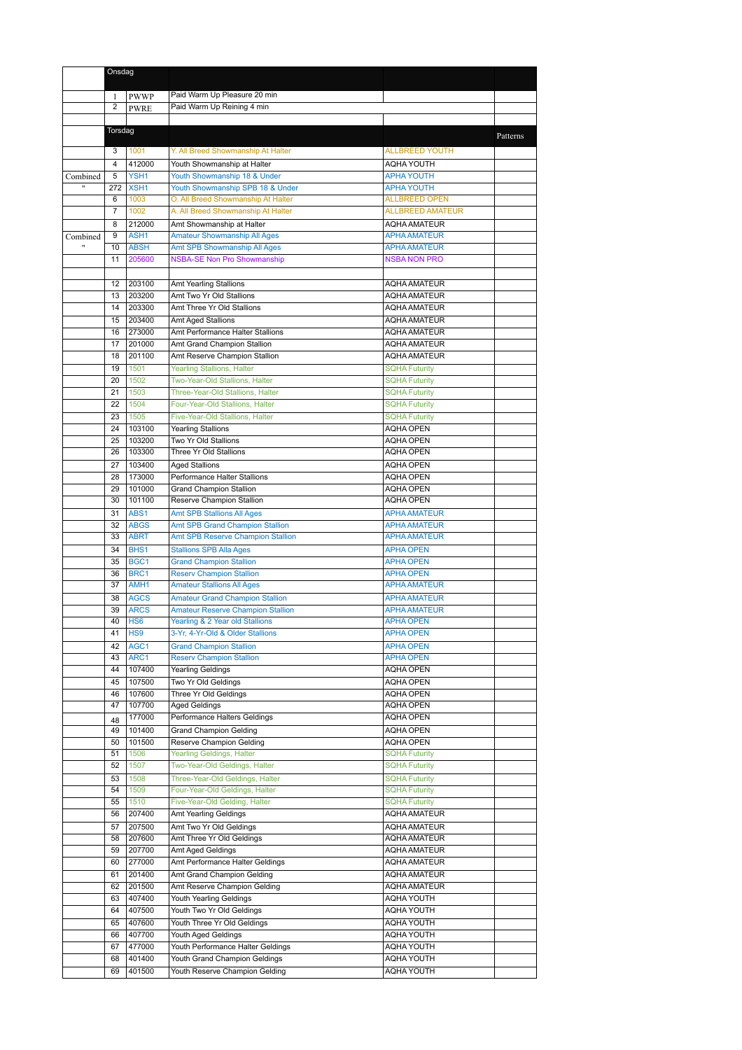|                          | Onsdag         |                                 |                                                                             |                                              |          |
|--------------------------|----------------|---------------------------------|-----------------------------------------------------------------------------|----------------------------------------------|----------|
|                          | 1              | PWWP                            | Paid Warm Up Pleasure 20 min                                                |                                              |          |
|                          | $\overline{2}$ | <b>PWRE</b>                     | Paid Warm Up Reining 4 min                                                  |                                              |          |
|                          |                |                                 |                                                                             |                                              |          |
|                          | Torsdag        |                                 |                                                                             |                                              | Patterns |
|                          | 3              | 1001                            | Y. All Breed Showmanship At Halter                                          | <b>ALLBREED YOUTH</b>                        |          |
|                          | $\overline{4}$ | 412000                          | Youth Showmanship at Halter                                                 | <b>AQHA YOUTH</b>                            |          |
| Combined<br>$\mathbf{H}$ | 5<br>272       | YSH1<br>XSH1                    | Youth Showmanship 18 & Under<br>Youth Showmanship SPB 18 & Under            | <b>APHA YOUTH</b><br><b>APHA YOUTH</b>       |          |
|                          | 6              | 1003                            | O. All Breed Showmanship At Halter                                          | <b>ALLBREED OPEN</b>                         |          |
|                          | $\overline{7}$ | 1002                            | A. All Breed Showmanship At Halter                                          | <b>ALLBREED AMATEUR</b>                      |          |
|                          | 8              | 212000                          | Amt Showmanship at Halter                                                   | <b>AQHA AMATEUR</b>                          |          |
| Combined                 | 9<br>10        | ASH1<br><b>ABSH</b>             | <b>Amateur Showmanship All Ages</b><br>Amt SPB Showmanship All Ages         | <b>APHA AMATEUR</b><br><b>APHA AMATEUR</b>   |          |
|                          | 11             | 205600                          | <b>NSBA-SE Non Pro Showmanship</b>                                          | <b>NSBA NON PRO</b>                          |          |
|                          |                |                                 |                                                                             |                                              |          |
|                          | 12             | 203100                          | <b>Amt Yearling Stallions</b>                                               | <b>AQHA AMATEUR</b>                          |          |
|                          | 13             | 203200                          | Amt Two Yr Old Stallions                                                    | <b>AQHA AMATEUR</b>                          |          |
|                          | 14<br>15       | 203300<br>203400                | Amt Three Yr Old Stallions<br>Amt Aged Stallions                            | <b>AQHA AMATEUR</b><br><b>AQHA AMATEUR</b>   |          |
|                          | 16             | 273000                          | Amt Performance Halter Stallions                                            | <b>AQHA AMATEUR</b>                          |          |
|                          | 17             | 201000                          | Amt Grand Champion Stallion                                                 | <b>AQHA AMATEUR</b>                          |          |
|                          | 18             | 201100                          | Amt Reserve Champion Stallion                                               | <b>AQHA AMATEUR</b>                          |          |
|                          | 19             | 1501                            | <b>Yearling Stallions, Halter</b>                                           | <b>SQHA Futurity</b>                         |          |
|                          | 20<br>21       | 1502<br>1503                    | Two-Year-Old Stallions, Halter<br>Three-Year-Old Stallions, Halter          | <b>SQHA Futurity</b><br><b>SQHA Futurity</b> |          |
|                          | 22             | 1504                            | Four-Year-Old Stallions, Halter                                             | <b>SQHA Futurity</b>                         |          |
|                          | 23             | 1505                            | Five-Year-Old Stallions, Halter                                             | <b>SQHA Futurity</b>                         |          |
|                          | 24             | 103100                          | <b>Yearling Stallions</b>                                                   | <b>AQHA OPEN</b>                             |          |
|                          | 25<br>26       | 103200<br>103300                | Two Yr Old Stallions<br>Three Yr Old Stallions                              | <b>AQHA OPEN</b><br><b>AQHA OPEN</b>         |          |
|                          | 27             | 103400                          | Aged Stallions                                                              | <b>AQHA OPEN</b>                             |          |
|                          | 28             | 173000                          | Performance Halter Stallions                                                | <b>AQHA OPEN</b>                             |          |
|                          | 29             | 101000                          | <b>Grand Champion Stallion</b>                                              | AQHA OPEN                                    |          |
|                          | 30             | 101100                          | Reserve Champion Stallion                                                   | <b>AQHA OPEN</b>                             |          |
|                          | 31<br>32       | ABS1<br><b>ABGS</b>             | <b>Amt SPB Stallions All Ages</b><br>Amt SPB Grand Champion Stallion        | <b>APHA AMATEUR</b><br><b>APHA AMATEUR</b>   |          |
|                          | 33             | <b>ABRT</b>                     | Amt SPB Reserve Champion Stallion                                           | <b>APHA AMATEUR</b>                          |          |
|                          | 34             | BHS <sub>1</sub>                | <b>Stallions SPB Alla Ages</b>                                              | <b>APHA OPEN</b>                             |          |
|                          | 35             | BGC <sub>1</sub>                | <b>Grand Champion Stallion</b>                                              | <b>APHA OPEN</b>                             |          |
|                          | 36             | BRC1                            | <b>Reserv Champion Stallion</b>                                             | <b>APHA OPEN</b>                             |          |
|                          | 37<br>38       | AMH <sub>1</sub><br><b>AGCS</b> | <b>Amateur Stallions All Ages</b><br><b>Amateur Grand Champion Stallion</b> | <b>APHA AMATEUR</b><br><b>APHA AMATEUR</b>   |          |
|                          | 39             | <b>ARCS</b>                     | <b>Amateur Reserve Champion Stallion</b>                                    | <b>APHA AMATEUR</b>                          |          |
|                          | 40             | HS <sub>6</sub>                 | Yearling & 2 Year old Stallions                                             | <b>APHA OPEN</b>                             |          |
|                          | 41             | HS9                             | 3-Yr, 4-Yr-Old & Older Stallions                                            | <b>APHA OPEN</b>                             |          |
|                          | 42             | AGC1                            | <b>Grand Champion Stallion</b>                                              | <b>APHA OPEN</b>                             |          |
|                          | 43<br>44       | ARC1<br>107400                  | <b>Reserv Champion Stallion</b><br><b>Yearling Geldings</b>                 | <b>APHA OPEN</b><br><b>AQHA OPEN</b>         |          |
|                          | 45             | 107500                          | Two Yr Old Geldings                                                         | AQHA OPEN                                    |          |
|                          | 46             | 107600                          | Three Yr Old Geldings                                                       | <b>AQHA OPEN</b>                             |          |
|                          | 47             | 107700                          | <b>Aged Geldings</b>                                                        | AQHA OPEN                                    |          |
|                          | 48<br>49       | 177000<br>101400                | Performance Halters Geldings<br><b>Grand Champion Gelding</b>               | AQHA OPEN<br><b>AQHA OPEN</b>                |          |
|                          | 50             | 101500                          | Reserve Champion Gelding                                                    | AQHA OPEN                                    |          |
|                          | 51             | 1506                            | Yearling Geldings, Halter                                                   | <b>SQHA Futurity</b>                         |          |
|                          | 52             | 1507                            | Two-Year-Old Geldings, Halter                                               | <b>SQHA Futurity</b>                         |          |
|                          | 53             | 1508<br>1509                    | Three-Year-Old Geldings, Halter                                             | <b>SQHA Futurity</b>                         |          |
|                          | 54<br>55       | 1510                            | Four-Year-Old Geldings, Halter<br>Five-Year-Old Gelding, Halter             | <b>SQHA Futurity</b><br><b>SQHA Futurity</b> |          |
|                          | 56             | 207400                          | Amt Yearling Geldings                                                       | <b>AQHA AMATEUR</b>                          |          |
|                          | 57             | 207500                          | Amt Two Yr Old Geldings                                                     | <b>AQHA AMATEUR</b>                          |          |
|                          | 58             | 207600                          | Amt Three Yr Old Geldings                                                   | <b>AQHA AMATEUR</b>                          |          |
|                          | 59<br>60       | 207700<br>277000                | Amt Aged Geldings<br>Amt Performance Halter Geldings                        | AQHA AMATEUR<br><b>AQHA AMATEUR</b>          |          |
|                          | 61             | 201400                          | Amt Grand Champion Gelding                                                  | AQHA AMATEUR                                 |          |
|                          | 62             | 201500                          | Amt Reserve Champion Gelding                                                | <b>AQHA AMATEUR</b>                          |          |
|                          | 63             | 407400                          | Youth Yearling Geldings                                                     | AQHA YOUTH                                   |          |
|                          | 64             | 407500                          | Youth Two Yr Old Geldings                                                   | AQHA YOUTH                                   |          |
|                          | 65<br>66       | 407600<br>407700                | Youth Three Yr Old Geldings<br>Youth Aged Geldings                          | AQHA YOUTH<br>AQHA YOUTH                     |          |
|                          | 67             | 477000                          | Youth Performance Halter Geldings                                           | <b>AQHA YOUTH</b>                            |          |
|                          | 68             | 401400                          | Youth Grand Champion Geldings                                               | AQHA YOUTH                                   |          |
|                          | 69             | 401500                          | Youth Reserve Champion Gelding                                              | AQHA YOUTH                                   |          |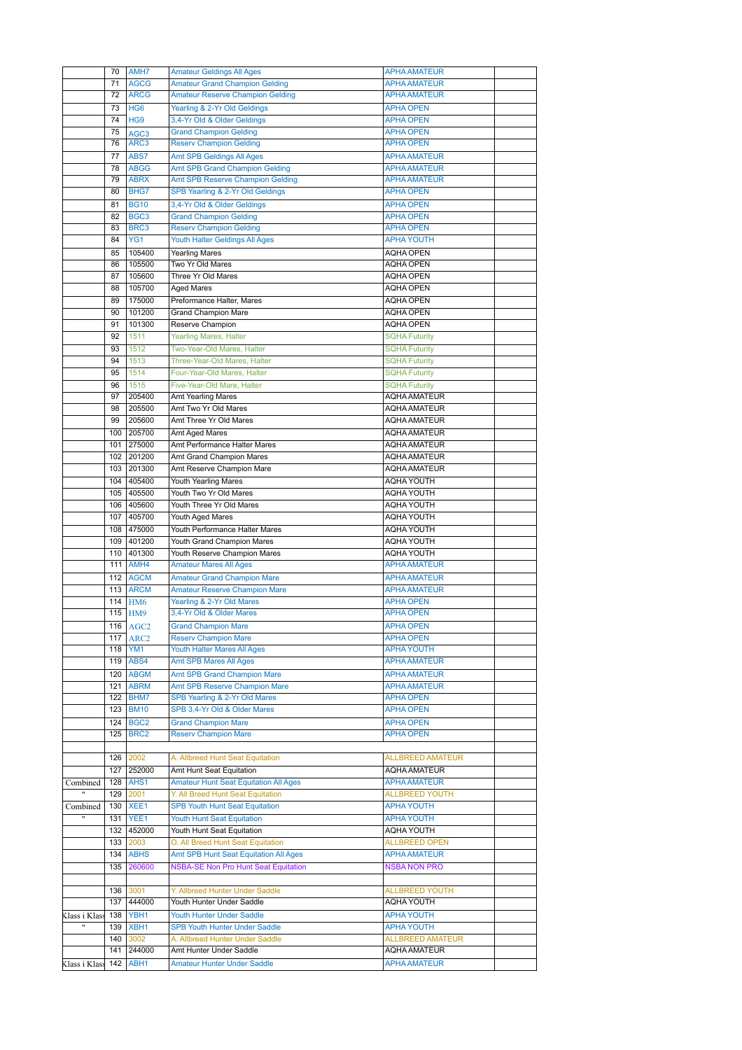|                   | 70  | AMH7             | <b>Amateur Geldings All Ages</b>             | <b>APHA AMATEUR</b>     |  |
|-------------------|-----|------------------|----------------------------------------------|-------------------------|--|
|                   | 71  | <b>AGCG</b>      | <b>Amateur Grand Champion Gelding</b>        | <b>APHA AMATEUR</b>     |  |
|                   | 72  | <b>ARCG</b>      | <b>Amateur Reserve Champion Gelding</b>      | <b>APHA AMATEUR</b>     |  |
|                   |     |                  |                                              |                         |  |
|                   | 73  | HG <sub>6</sub>  | Yearling & 2-Yr Old Geldings                 | <b>APHA OPEN</b>        |  |
|                   | 74  | HG <sub>9</sub>  | 3,4-Yr Old & Older Geldings                  | <b>APHA OPEN</b>        |  |
|                   | 75  | AGC <sub>3</sub> | <b>Grand Champion Gelding</b>                | <b>APHA OPEN</b>        |  |
|                   | 76  | ARC <sub>3</sub> | <b>Reserv Champion Gelding</b>               | <b>APHA OPEN</b>        |  |
|                   | 77  | ABS7             | <b>Amt SPB Geldings All Ages</b>             | <b>APHA AMATEUR</b>     |  |
|                   |     |                  |                                              |                         |  |
|                   | 78  | <b>ABGG</b>      | <b>Amt SPB Grand Champion Gelding</b>        | <b>APHA AMATEUR</b>     |  |
|                   | 79  | <b>ABRX</b>      | <b>Amt SPB Reserve Champion Gelding</b>      | <b>APHA AMATEUR</b>     |  |
|                   | 80  | BHG7             | SPB Yearling & 2-Yr Old Geldings             | <b>APHA OPEN</b>        |  |
|                   | 81  | <b>BG10</b>      | 3,4-Yr Old & Older Geldings                  | <b>APHA OPEN</b>        |  |
|                   | 82  | BGC <sub>3</sub> | <b>Grand Champion Gelding</b>                | <b>APHA OPEN</b>        |  |
|                   | 83  | BRC3             | <b>Reserv Champion Gelding</b>               | <b>APHA OPEN</b>        |  |
|                   |     |                  |                                              |                         |  |
|                   | 84  | YG1              | Youth Halter Geldings All Ages               | <b>APHA YOUTH</b>       |  |
|                   | 85  | 105400           | <b>Yearling Mares</b>                        | <b>AQHA OPEN</b>        |  |
|                   | 86  | 105500           | Two Yr Old Mares                             | <b>AQHA OPEN</b>        |  |
|                   | 87  | 105600           | Three Yr Old Mares                           | <b>AQHA OPEN</b>        |  |
|                   | 88  | 105700           | <b>Aged Mares</b>                            | <b>AQHA OPEN</b>        |  |
|                   | 89  | 175000           | Preformance Halter, Mares                    | <b>AQHA OPEN</b>        |  |
|                   |     |                  |                                              |                         |  |
|                   | 90  | 101200           | <b>Grand Champion Mare</b>                   | <b>AQHA OPEN</b>        |  |
|                   | 91  | 101300           | Reserve Champion                             | <b>AQHA OPEN</b>        |  |
|                   | 92  | 1511             | <b>Yearling Mares, Halter</b>                | <b>SQHA Futurity</b>    |  |
|                   | 93  | 1512             | Two-Year-Old Mares, Halter                   | <b>SQHA Futurity</b>    |  |
|                   | 94  | 1513             | Three-Year-Old Mares, Halter                 | <b>SQHA Futurity</b>    |  |
|                   | 95  | 1514             | Four-Year-Old Mares, Halter                  | <b>SQHA Futurity</b>    |  |
|                   |     |                  |                                              |                         |  |
|                   | 96  | 1515             | Five-Year-Old Mare, Halter                   | <b>SQHA Futurity</b>    |  |
|                   | 97  | 205400           | Amt Yearling Mares                           | <b>AOHA AMATEUR</b>     |  |
|                   | 98  | 205500           | Amt Two Yr Old Mares                         | <b>AQHA AMATEUR</b>     |  |
|                   | 99  | 205600           | Amt Three Yr Old Mares                       | <b>AQHA AMATEUR</b>     |  |
|                   | 100 | 205700           | Amt Aged Mares                               | AQHA AMATEUR            |  |
|                   | 101 | 275000           | Amt Performance Halter Mares                 | <b>AQHA AMATEUR</b>     |  |
|                   |     |                  |                                              |                         |  |
|                   |     | 102 201200       | Amt Grand Champion Mares                     | <b>AQHA AMATEUR</b>     |  |
|                   | 103 | 201300           | Amt Reserve Champion Mare                    | <b>AQHA AMATEUR</b>     |  |
|                   | 104 | 405400           | Youth Yearling Mares                         | AQHA YOUTH              |  |
|                   | 105 | 405500           | Youth Two Yr Old Mares                       | <b>AQHA YOUTH</b>       |  |
|                   | 106 | 405600           | Youth Three Yr Old Mares                     | <b>AQHA YOUTH</b>       |  |
|                   | 107 | 405700           | Youth Aged Mares                             | <b>AQHA YOUTH</b>       |  |
|                   |     |                  |                                              |                         |  |
|                   |     |                  |                                              |                         |  |
|                   | 108 | 475000           | Youth Performance Halter Mares               | <b>AQHA YOUTH</b>       |  |
|                   | 109 | 401200           | Youth Grand Champion Mares                   | <b>AQHA YOUTH</b>       |  |
|                   | 110 | 401300           | Youth Reserve Champion Mares                 | <b>AQHA YOUTH</b>       |  |
|                   |     | 111 AMH4         | <b>Amateur Mares All Ages</b>                | <b>APHA AMATEUR</b>     |  |
|                   |     |                  |                                              |                         |  |
|                   |     | 112 AGCM         | <b>Amateur Grand Champion Mare</b>           | <b>APHA AMATEUR</b>     |  |
|                   |     | 113 ARCM         | <b>Amateur Reserve Champion Mare</b>         | <b>APHA AMATEUR</b>     |  |
|                   | 114 | HM <sub>6</sub>  | Yearling & 2-Yr Old Mares                    | <b>APHA OPEN</b>        |  |
|                   | 115 | HM9              | 3,4-Yr Old & Older Mares                     | <b>APHA OPEN</b>        |  |
|                   |     | 116 AGC2         | <b>Grand Champion Mare</b>                   | <b>APHA OPEN</b>        |  |
|                   |     | <b>117 ARC2</b>  | <b>Reserv Champion Mare</b>                  | <b>APHA OPEN</b>        |  |
|                   |     | 118 YM1          | <b>Youth Halter Mares All Ages</b>           | <b>APHA YOUTH</b>       |  |
|                   |     |                  |                                              |                         |  |
|                   |     | 119 ABS4         | <b>Amt SPB Mares All Ages</b>                | <b>APHA AMATEUR</b>     |  |
|                   |     | 120 ABGM         | <b>Amt SPB Grand Champion Mare</b>           | <b>APHA AMATEUR</b>     |  |
|                   | 121 | <b>ABRM</b>      | <b>Amt SPB Reserve Champion Mare</b>         | <b>APHA AMATEUR</b>     |  |
|                   | 122 | BHM7             | SPB Yearling & 2-Yr Old Mares                | <b>APHA OPEN</b>        |  |
|                   | 123 | <b>BM10</b>      | SPB 3,4-Yr Old & Older Mares                 | <b>APHA OPEN</b>        |  |
|                   | 124 | BGC <sub>2</sub> | <b>Grand Champion Mare</b>                   | <b>APHA OPEN</b>        |  |
|                   | 125 | BRC <sub>2</sub> | <b>Reserv Champion Mare</b>                  | <b>APHA OPEN</b>        |  |
|                   |     |                  |                                              |                         |  |
|                   |     |                  |                                              |                         |  |
|                   | 126 | 2002             | A. Allbreed Hunt Seat Equitation             | <b>ALLBREED AMATEUR</b> |  |
|                   |     | 127 252000       | Amt Hunt Seat Equitation                     | AQHA AMATEUR            |  |
| Combined          | 128 | AHS1             | <b>Amateur Hunt Seat Equitation All Ages</b> | <b>APHA AMATEUR</b>     |  |
| $^{\prime\prime}$ | 129 | 2001             | Y. All Breed Hunt Seat Equitation            | <b>ALLBREED YOUTH</b>   |  |
| Combined          |     | 130 XEE1         | <b>SPB Youth Hunt Seat Equitation</b>        | <b>APHA YOUTH</b>       |  |
| $\overline{ }$    |     |                  |                                              |                         |  |
|                   | 131 | YEE1             | Youth Hunt Seat Equitation                   | <b>APHA YOUTH</b>       |  |
|                   |     | 132 452000       | Youth Hunt Seat Equitation                   | AQHA YOUTH              |  |
|                   | 133 | 2003             | O. All Breed Hunt Seat Equitation            | <b>ALLBREED OPEN</b>    |  |
|                   | 134 | <b>ABHS</b>      | Amt SPB Hunt Seat Equitation All Ages        | <b>APHA AMATEUR</b>     |  |
|                   | 135 | 260600           | <b>NSBA-SE Non Pro Hunt Seat Equitation</b>  | <b>NSBA NON PRO</b>     |  |
|                   |     |                  |                                              |                         |  |
|                   | 136 | 3001             | Y. Allbreed Hunter Under Saddle              | <b>ALLBREED YOUTH</b>   |  |
|                   |     | 137 444000       | Youth Hunter Under Saddle                    |                         |  |
|                   |     |                  |                                              | AQHA YOUTH              |  |
| Klass i Klass     | 138 | YBH1             | <b>Youth Hunter Under Saddle</b>             | <b>APHA YOUTH</b>       |  |
|                   | 139 | XBH <sub>1</sub> | <b>SPB Youth Hunter Under Saddle</b>         | <b>APHA YOUTH</b>       |  |
|                   | 140 | 3002             | A. Allbreed Hunter Under Saddle              | <b>ALLBREED AMATEUR</b> |  |
|                   |     | 141 244000       | Amt Hunter Under Saddle                      | AQHA AMATEUR            |  |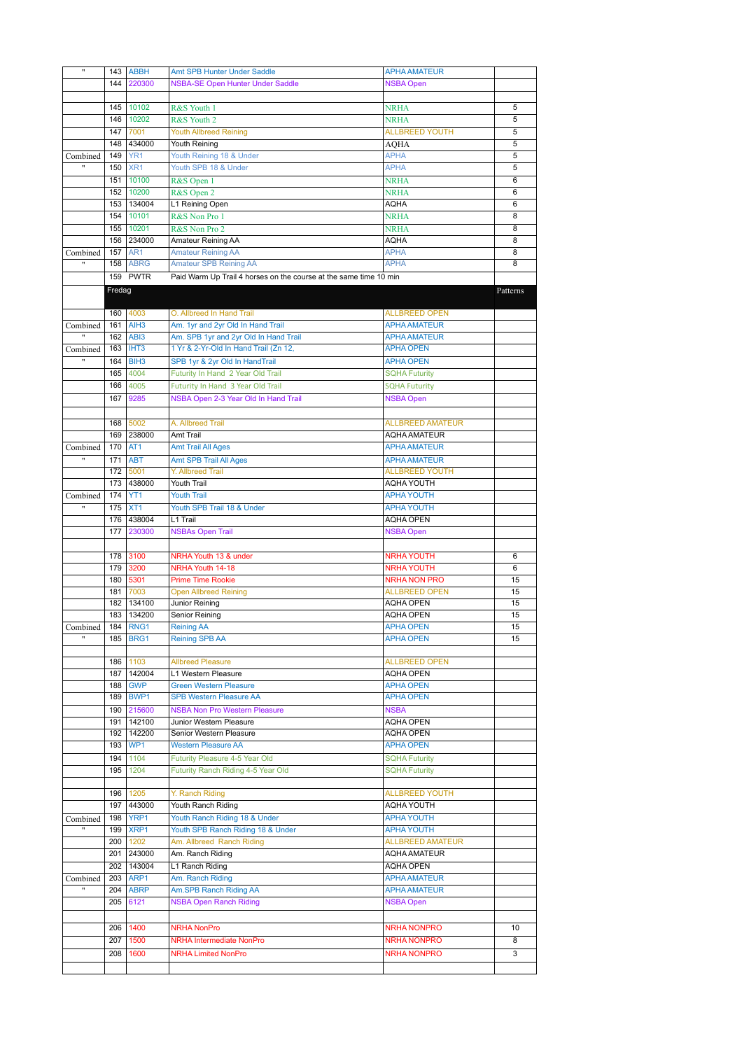| $\pmb{\mathfrak{m}}$                 | 143    | <b>ABBH</b>             | Amt SPB Hunter Under Saddle                                       | <b>APHA AMATEUR</b>                  |                |
|--------------------------------------|--------|-------------------------|-------------------------------------------------------------------|--------------------------------------|----------------|
|                                      | 144    | 220300                  | <b>NSBA-SE Open Hunter Under Saddle</b>                           | <b>NSBA Open</b>                     |                |
|                                      |        |                         |                                                                   |                                      |                |
|                                      | 145    | 10102                   | R&S Youth 1                                                       | <b>NRHA</b>                          | 5              |
|                                      | 146    | 10202                   | R&S Youth 2                                                       | <b>NRHA</b>                          | 5              |
|                                      |        |                         |                                                                   |                                      |                |
|                                      | 147    | 7001                    | <b>Youth Allbreed Reining</b>                                     | <b>ALLBREED YOUTH</b>                | $\overline{5}$ |
|                                      | 148    | 434000                  | Youth Reining                                                     | <b>AQHA</b>                          | 5              |
| Combined                             | 149    | YR <sub>1</sub>         | Youth Reining 18 & Under                                          | <b>APHA</b>                          | 5              |
| $\pmb{\mathfrak{m}}$                 | 150    | XR <sub>1</sub>         | Youth SPB 18 & Under                                              | <b>APHA</b>                          | 5              |
|                                      | 151    | 10100                   | R&S Open 1                                                        | <b>NRHA</b>                          | 6              |
|                                      | 152    | 10200                   | R&S Open 2                                                        | <b>NRHA</b>                          | 6              |
|                                      | 153    | 134004                  | L1 Reining Open                                                   | AQHA                                 | 6              |
|                                      | 154    | 10101                   | R&S Non Pro 1                                                     | <b>NRHA</b>                          | 8              |
|                                      | 155    | 10201                   | R&S Non Pro 2                                                     | <b>NRHA</b>                          | 8              |
|                                      | 156    | 234000                  | Amateur Reining AA                                                | AQHA                                 | 8              |
| Combined                             | 157    | AR <sub>1</sub>         | <b>Amateur Reining AA</b>                                         | <b>APHA</b>                          | 8              |
|                                      | 158    | <b>ABRG</b>             | <b>Amateur SPB Reining AA</b>                                     | <b>APHA</b>                          | 8              |
|                                      |        | 159 PWTR                | Paid Warm Up Trail 4 horses on the course at the same time 10 min |                                      |                |
|                                      |        |                         |                                                                   |                                      |                |
|                                      | Fredag |                         |                                                                   |                                      | Patterns       |
|                                      |        |                         |                                                                   |                                      |                |
|                                      |        | 160 4003                | O. Allbreed In Hand Trail                                         | <b>ALLBREED OPEN</b>                 |                |
| Combined                             | 161    | AIH3                    | Am. 1yr and 2yr Old In Hand Trail                                 | <b>APHA AMATEUR</b>                  |                |
| $\overline{\phantom{a}}$             |        | 162 ABI3                | Am. SPB 1yr and 2yr Old In Hand Trail                             | <b>APHA AMATEUR</b>                  |                |
| Combined                             | 163    | <b>IHT3</b>             | 1 Yr & 2-Yr-Old In Hand Trail (Zn 12,                             | <b>APHA OPEN</b>                     |                |
| Ħ                                    | 164    | BIH <sub>3</sub>        | SPB 1yr & 2yr Old In HandTrail                                    | <b>APHA OPEN</b>                     |                |
|                                      | 165    | 4004                    | Futurity In Hand 2 Year Old Trail                                 | <b>SQHA Futurity</b>                 |                |
|                                      | 166    | 4005                    | Futurity In Hand 3 Year Old Trail                                 | <b>SQHA Futurity</b>                 |                |
|                                      | 167    | 9285                    | NSBA Open 2-3 Year Old In Hand Trail                              | <b>NSBA Open</b>                     |                |
|                                      |        |                         |                                                                   |                                      |                |
|                                      | 168    | 5002                    | A. Allbreed Trail                                                 | <b>ALLBREED AMATEUR</b>              |                |
|                                      | 169    | 238000                  | Amt Trail                                                         | <b>AQHA AMATEUR</b>                  |                |
|                                      | 170    | AT <sub>1</sub>         |                                                                   | <b>APHA AMATEUR</b>                  |                |
| Combined<br>$\overline{\phantom{0}}$ |        |                         | <b>Amt Trail All Ages</b>                                         |                                      |                |
|                                      | 171    | <b>ABT</b>              | <b>Amt SPB Trail All Ages</b>                                     | <b>APHA AMATEUR</b>                  |                |
|                                      | 172    | 5001                    | Y. Allbreed Trail                                                 | <b>ALLBREED YOUTH</b>                |                |
|                                      | 173    | 438000                  | Youth Trail                                                       | <b>AQHA YOUTH</b>                    |                |
| Combined                             | 174    | YT <sub>1</sub>         | <b>Youth Trail</b>                                                | <b>APHA YOUTH</b>                    |                |
| $^{\prime\prime}$                    | 175    | XT <sub>1</sub>         | Youth SPB Trail 18 & Under                                        | <b>APHA YOUTH</b>                    |                |
|                                      | 176    | 438004                  | L1 Trail                                                          | <b>AQHA OPEN</b>                     |                |
|                                      | 177    | 230300                  | <b>NSBAs Open Trail</b>                                           | <b>NSBA Open</b>                     |                |
|                                      |        |                         |                                                                   |                                      |                |
|                                      |        |                         |                                                                   |                                      |                |
|                                      | 178    | 3100                    | NRHA Youth 13 & under                                             | <b>NRHA YOUTH</b>                    | 6              |
|                                      | 179    | 3200                    | NRHA Youth 14-18                                                  | <b>NRHA YOUTH</b>                    | 6              |
|                                      | 180    | 5301                    | <b>Prime Time Rookie</b>                                          | <b>NRHA NON PRO</b>                  | 15             |
|                                      | 181    | 7003                    | <b>Open Allbreed Reining</b>                                      | <b>ALLBREED OPEN</b>                 | 15             |
|                                      | 182    | 134100                  | Junior Reining                                                    | <b>AQHA OPEN</b>                     | 15             |
|                                      | 183    | 134200                  | Senior Reining                                                    | <b>AQHA OPEN</b>                     | 15             |
|                                      |        |                         |                                                                   |                                      |                |
| Combined                             | 185    | 184 RNG1<br><b>BRG1</b> | Reining AA<br><b>Reining SPB AA</b>                               | <b>APHA OPEN</b><br><b>APHA OPEN</b> | 15<br>15       |
|                                      |        |                         |                                                                   |                                      |                |
|                                      |        | 1103                    |                                                                   |                                      |                |
|                                      | 186    |                         | <b>Allbreed Pleasure</b>                                          | <b>ALLBREED OPEN</b>                 |                |
|                                      |        | 187 142004              | L1 Western Pleasure                                               | <b>AQHA OPEN</b>                     |                |
|                                      | 188    | <b>GWP</b>              | <b>Green Western Pleasure</b>                                     | <b>APHA OPEN</b>                     |                |
|                                      | 189    | BWP1                    | <b>SPB Western Pleasure AA</b>                                    | <b>APHA OPEN</b>                     |                |
|                                      | 190    | 215600                  | <b>NSBA Non Pro Western Pleasure</b>                              | <b>NSBA</b>                          |                |
|                                      | 191    | 142100                  | Junior Western Pleasure                                           | <b>AQHA OPEN</b>                     |                |
|                                      | 192    | 142200                  | Senior Western Pleasure                                           | <b>AQHA OPEN</b>                     |                |
|                                      | 193    | WP1                     | <b>Western Pleasure AA</b>                                        | <b>APHA OPEN</b>                     |                |
|                                      | 194    | 1104                    | Futurity Pleasure 4-5 Year Old                                    | <b>SQHA Futurity</b>                 |                |
|                                      | 195    | 1204                    | Futurity Ranch Riding 4-5 Year Old                                | <b>SQHA Futurity</b>                 |                |
|                                      |        |                         |                                                                   |                                      |                |
|                                      | 196    | 1205                    | Y. Ranch Riding                                                   | <b>ALLBREED YOUTH</b>                |                |
|                                      | 197    | 443000                  | Youth Ranch Riding                                                | AQHA YOUTH                           |                |
| Combined                             | 198    | YRP1                    | Youth Ranch Riding 18 & Under                                     | <b>APHA YOUTH</b>                    |                |
|                                      | 199    | XRP1                    | Youth SPB Ranch Riding 18 & Under                                 | <b>APHA YOUTH</b>                    |                |
|                                      |        | 200 1202                | Am. Allbreed Ranch Riding                                         | <b>ALLBREED AMATEUR</b>              |                |
|                                      |        | 201 243000              | Am. Ranch Riding                                                  | <b>AQHA AMATEUR</b>                  |                |
|                                      |        | 202 143004              | L1 Ranch Riding                                                   | <b>AQHA OPEN</b>                     |                |
| Combined                             |        | 203 ARP1                | Am. Ranch Riding                                                  | <b>APHA AMATEUR</b>                  |                |
|                                      | 204    | <b>ABRP</b>             |                                                                   | <b>APHA AMATEUR</b>                  |                |
|                                      | 205    | 6121                    | Am.SPB Ranch Riding AA                                            |                                      |                |
|                                      |        |                         | <b>NSBA Open Ranch Riding</b>                                     | <b>NSBA Open</b>                     |                |
|                                      |        |                         |                                                                   |                                      |                |
|                                      |        | 206 1400                | <b>NRHA NonPro</b>                                                | <b>NRHA NONPRO</b>                   | 10             |
|                                      | 207    | 1500                    | <b>NRHA Intermediate NonPro</b>                                   | <b>NRHA NONPRO</b>                   | 8              |
|                                      | 208    | 1600                    | <b>NRHA Limited NonPro</b>                                        | <b>NRHA NONPRO</b>                   | 3              |